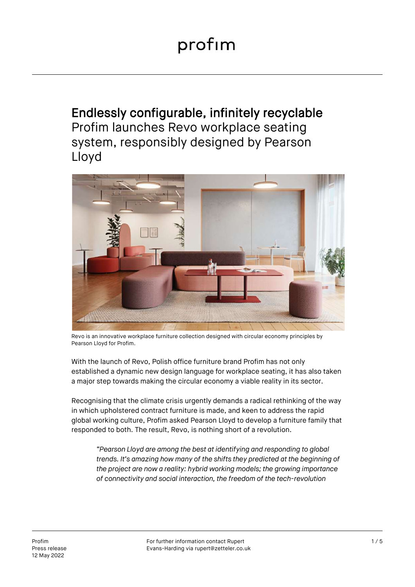Endlessly configurable, infinitely recyclable Profim launches Revo workplace seating system, responsibly designed by Pearson Lloyd



Revo is an innovative workplace furniture collection designed with circular economy principles by Pearson Lloyd for Profim.

With the launch of Revo, Polish office furniture brand Profim has not only established a dynamic new design language for workplace seating, it has also taken a major step towards making the circular economy a viable reality in its sector.

Recognising that the climate crisis urgently demands a radical rethinking of the way in which upholstered contract furniture is made, and keen to address the rapid global working culture, Profim asked Pearson Lloyd to develop a furniture family that responded to both. The result, Revo, is nothing short of a revolution.

*"Pearson Lloyd are among the best at identifying and responding to global trends. It's amazing how many of the shifts they predicted at the beginning of the project are now a reality: hybrid working models; the growing importance of connectivity and social interaction, the freedom of the tech-revolution*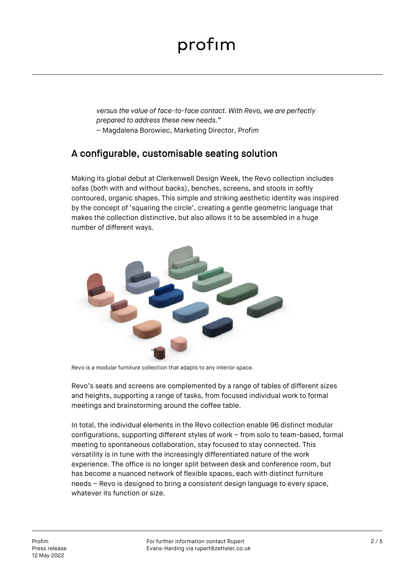## profim

*versus the value of face-to-face contact. With Revo, we are perfectly prepared to address these new needs."*

– Magdalena Borowiec, Marketing Director, Profim

### A configurable, customisable seating solution

Making its global debut at Clerkenwell Design Week, the Revo collection includes sofas (both with and without backs), benches, screens, and stools in softly contoured, organic shapes. This simple and striking aesthetic identity was inspired by the concept of 'squaring the circle', creating a gentle geometric language that makes the collection distinctive, but also allows it to be assembled in a huge number of different ways.



Revo is a modular furniture collection that adapts to any interior space.

Revo's seats and screens are complemented by a range of tables of different sizes and heights, supporting a range of tasks, from focused individual work to formal meetings and brainstorming around the coffee table.

In total, the individual elements in the Revo collection enable 96 distinct modular configurations, supporting different styles of work – from solo to team-based, formal meeting to spontaneous collaboration, stay focused to stay connected. This versatility is in tune with the increasingly differentiated nature of the work experience. The office is no longer split between desk and conference room, but has become a nuanced network of flexible spaces, each with distinct furniture needs – Revo is designed to bring a consistent design language to every space, whatever its function or size.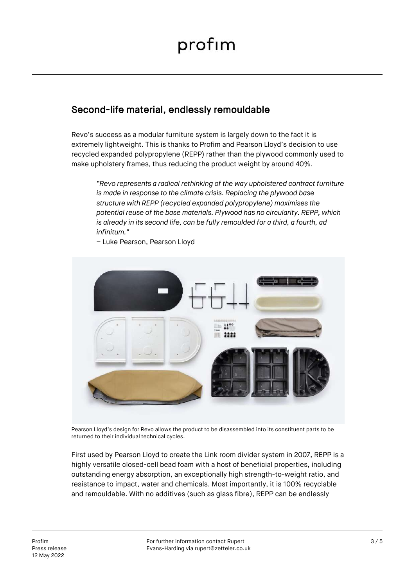## Second-life material, endlessly remouldable

Revo's success as a modular furniture system is largely down to the fact it is extremely lightweight. This is thanks to Profim and Pearson Lloyd's decision to use recycled expanded polypropylene (REPP) rather than the plywood commonly used to make upholstery frames, thus reducing the product weight by around 40%.

*"Revo represents a radical rethinking of the way upholstered contract furniture is made in response to the climate crisis. Replacing the plywood base structure with REPP (recycled expanded polypropylene) maximises the potential reuse of the base materials. Plywood has no circularity. REPP, which is already in its second life, can be fully remoulded for a third, a fourth, ad infinitum."*



– Luke Pearson, Pearson Lloyd

Pearson Lloyd's design for Revo allows the product to be disassembled into its constituent parts to be returned to their individual technical cycles.

First used by Pearson Lloyd to create the Link room divider system in 2007, REPP is a highly versatile closed-cell bead foam with a host of beneficial properties, including outstanding energy absorption, an exceptionally high strength-to-weight ratio, and resistance to impact, water and chemicals. Most importantly, it is 100% recyclable and remouldable. With no additives (such as glass fibre), REPP can be endlessly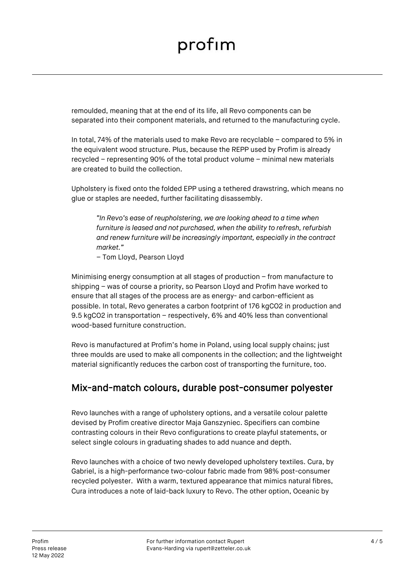# profim

remoulded, meaning that at the end of its life, all Revo components can be separated into their component materials, and returned to the manufacturing cycle.

In total, 74% of the materials used to make Revo are recyclable – compared to 5% in the equivalent wood structure. Plus, because the REPP used by Profim is already recycled – representing 90% of the total product volume – minimal new materials are created to build the collection.

Upholstery is fixed onto the folded EPP using a tethered drawstring, which means no glue or staples are needed, further facilitating disassembly.

*"In Revo's ease of reupholstering, we are looking ahead to a time when furniture is leased and not purchased, when the ability to refresh, refurbish and renew furniture will be increasingly important, especially in the contract market."*

– Tom Lloyd, Pearson Lloyd

Minimising energy consumption at all stages of production – from manufacture to shipping – was of course a priority, so Pearson Lloyd and Profim have worked to ensure that all stages of the process are as energy- and carbon-efficient as possible. In total, Revo generates a carbon footprint of 176 kgCO2 in production and 9.5 kgCO2 in transportation – respectively, 6% and 40% less than conventional wood-based furniture construction.

Revo is manufactured at Profim's home in Poland, using local supply chains; just three moulds are used to make all components in the collection; and the lightweight material significantly reduces the carbon cost of transporting the furniture, too.

### Mix-and-match colours, durable post-consumer polyester

Revo launches with a range of upholstery options, and a versatile colour palette devised by Profim creative director Maja Ganszyniec. Specifiers can combine contrasting colours in their Revo configurations to create playful statements, or select single colours in graduating shades to add nuance and depth.

Revo launches with a choice of two newly developed upholstery textiles. Cura, by Gabriel, is a high-performance two-colour fabric made from 98% post-consumer recycled polyester. With a warm, textured appearance that mimics natural fibres, Cura introduces a note of laid-back luxury to Revo. The other option, Oceanic by